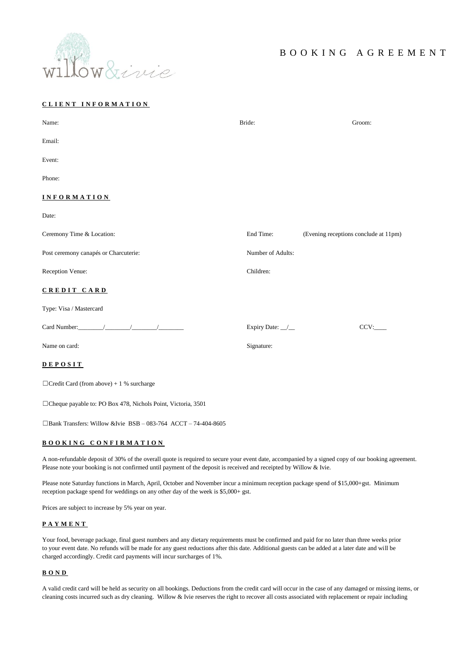

# **C L I E N T I N F O R M A T I O N**

| Name:                                                                                                                                                                                                                                                                                                                                                                                                              | Bride:            | Groom:                                |
|--------------------------------------------------------------------------------------------------------------------------------------------------------------------------------------------------------------------------------------------------------------------------------------------------------------------------------------------------------------------------------------------------------------------|-------------------|---------------------------------------|
| Email:                                                                                                                                                                                                                                                                                                                                                                                                             |                   |                                       |
| Event:                                                                                                                                                                                                                                                                                                                                                                                                             |                   |                                       |
| Phone:                                                                                                                                                                                                                                                                                                                                                                                                             |                   |                                       |
| <b>INFORMATION</b>                                                                                                                                                                                                                                                                                                                                                                                                 |                   |                                       |
| Date:                                                                                                                                                                                                                                                                                                                                                                                                              |                   |                                       |
| Ceremony Time & Location:                                                                                                                                                                                                                                                                                                                                                                                          | End Time:         | (Evening receptions conclude at 11pm) |
| Post ceremony canapés or Charcuterie:                                                                                                                                                                                                                                                                                                                                                                              | Number of Adults: |                                       |
| Reception Venue:                                                                                                                                                                                                                                                                                                                                                                                                   | Children:         |                                       |
| CREDIT CARD                                                                                                                                                                                                                                                                                                                                                                                                        |                   |                                       |
| Type: Visa / Mastercard                                                                                                                                                                                                                                                                                                                                                                                            |                   |                                       |
| Card Number: $\frac{1}{\sqrt{1-\frac{1}{2}}}\frac{1}{\sqrt{1-\frac{1}{2}}}\frac{1}{\sqrt{1-\frac{1}{2}}}\frac{1}{\sqrt{1-\frac{1}{2}}}\frac{1}{\sqrt{1-\frac{1}{2}}}\frac{1}{\sqrt{1-\frac{1}{2}}}\frac{1}{\sqrt{1-\frac{1}{2}}}\frac{1}{\sqrt{1-\frac{1}{2}}}\frac{1}{\sqrt{1-\frac{1}{2}}}\frac{1}{\sqrt{1-\frac{1}{2}}}\frac{1}{\sqrt{1-\frac{1}{2}}}\frac{1}{\sqrt{1-\frac{1}{2}}}\frac{1}{\sqrt{1-\frac{1}{2$ | Expiry Date: _/_  | CCV:                                  |
| Name on card:                                                                                                                                                                                                                                                                                                                                                                                                      | Signature:        |                                       |
| DEPOSIT                                                                                                                                                                                                                                                                                                                                                                                                            |                   |                                       |
| $\Box$ Credit Card (from above) + 1 % surcharge                                                                                                                                                                                                                                                                                                                                                                    |                   |                                       |

☐Cheque payable to: PO Box 478, Nichols Point, Victoria, 3501

☐Bank Transfers: Willow &Ivie BSB – 083-764 ACCT – 74-404-8605

# **B O O K I N G C O N F I R M A T I O N**

A non-refundable deposit of 30% of the overall quote is required to secure your event date, accompanied by a signed copy of our booking agreement. Please note your booking is not confirmed until payment of the deposit is received and receipted by Willow & Ivie.

Please note Saturday functions in March, April, October and November incur a minimum reception package spend of \$15,000+gst. Minimum reception package spend for weddings on any other day of the week is \$5,000+ gst.

Prices are subject to increase by 5% year on year.

#### **P A Y M E N T**

Your food, beverage package, final guest numbers and any dietary requirements must be confirmed and paid for no later than three weeks prior to your event date. No refunds will be made for any guest reductions after this date. Additional guests can be added at a later date and will be charged accordingly. Credit card payments will incur surcharges of 1%.

# **B O N D**

A valid credit card will be held as security on all bookings. Deductions from the credit card will occur in the case of any damaged or missing items, or cleaning costs incurred such as dry cleaning. Willow & Ivie reserves the right to recover all costs associated with replacement or repair including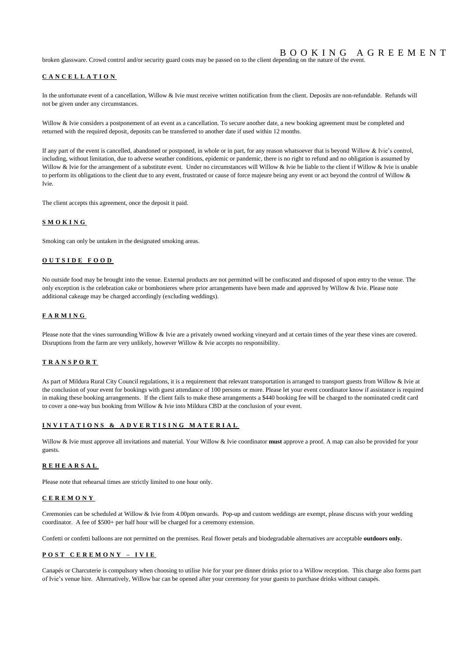# B O O K I N G A G R E E M E N T

broken glassware. Crowd control and/or security guard costs may be passed on to the client depending on the nature of the event.

# **C A N C E L L A T I O N**

In the unfortunate event of a cancellation, Willow & Ivie must receive written notification from the client. Deposits are non-refundable. Refunds will not be given under any circumstances.

Willow & Ivie considers a postponement of an event as a cancellation. To secure another date, a new booking agreement must be completed and returned with the required deposit, deposits can be transferred to another date if used within 12 months.

If any part of the event is cancelled, abandoned or postponed, in whole or in part, for any reason whatsoever that is beyond Willow & Ivie's control, including, without limitation, due to adverse weather conditions, epidemic or pandemic, there is no right to refund and no obligation is assumed by Willow & Ivie for the arrangement of a substitute event. Under no circumstances will Willow & Ivie be liable to the client if Willow & Ivie is unable to perform its obligations to the client due to any event, frustrated or cause of force majeure being any event or act beyond the control of Willow & Ivie.

The client accepts this agreement, once the deposit it paid.

## **S M O K I N G**

Smoking can only be untaken in the designated smoking areas.

### **O U T S I D E F O O D**

No outside food may be brought into the venue. External products are not permitted will be confiscated and disposed of upon entry to the venue. The only exception is the celebration cake or bombonieres where prior arrangements have been made and approved by Willow & Ivie. Please note additional cakeage may be charged accordingly (excluding weddings).

### **F A R M I N G**

Please note that the vines surrounding Willow & Ivie are a privately owned working vineyard and at certain times of the year these vines are covered. Disruptions from the farm are very unlikely, however Willow & Ivie accepts no responsibility.

# **T R A N S P O R T**

As part of Mildura Rural City Council regulations, it is a requirement that relevant transportation is arranged to transport guests from Willow & Ivie at the conclusion of your event for bookings with guest attendance of 100 persons or more. Please let your event coordinator know if assistance is required in making these booking arrangements. If the client fails to make these arrangements a \$440 booking fee will be charged to the nominated credit card to cover a one-way bus booking from Willow & Ivie into Mildura CBD at the conclusion of your event.

# **I N V I T A T I O N S & A D V E R T I S I N G M A T E R I A L**

Willow & Ivie must approve all invitations and material. Your Willow & Ivie coordinator **must** approve a proof. A map can also be provided for your guests.

#### **R E H E A R S A L**

Please note that rehearsal times are strictly limited to one hour only.

# **C E R E M O N Y**

Ceremonies can be scheduled at Willow & Ivie from 4.00pm onwards. Pop-up and custom weddings are exempt, please discuss with your wedding coordinator. A fee of \$500+ per half hour will be charged for a ceremony extension.

Confetti or confetti balloons are not permitted on the premises. Real flower petals and biodegradable alternatives are acceptable **outdoors only.** 

### **P O S T C E R E M O N Y – I V I E**

Canapés or Charcuterie is compulsory when choosing to utilise Ivie for your pre dinner drinks prior to a Willow reception. This charge also forms part of Ivie's venue hire. Alternatively, Willow bar can be opened after your ceremony for your guests to purchase drinks without canapés.